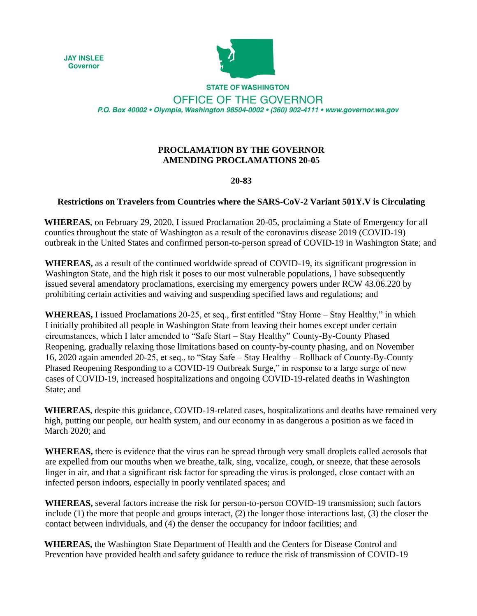**JAY INSLEE Governor** 



**STATE OF WASHINGTON** OFFICE OF THE GOVERNOR P.O. Box 40002 · Olympia, Washington 98504-0002 · (360) 902-4111 · www.governor.wa.gov

## **PROCLAMATION BY THE GOVERNOR AMENDING PROCLAMATIONS 20-05**

## **20-83**

## **Restrictions on Travelers from Countries where the SARS-CoV-2 Variant 501Y.V is Circulating**

**WHEREAS**, on February 29, 2020, I issued Proclamation 20-05, proclaiming a State of Emergency for all counties throughout the state of Washington as a result of the coronavirus disease 2019 (COVID-19) outbreak in the United States and confirmed person-to-person spread of COVID-19 in Washington State; and

**WHEREAS,** as a result of the continued worldwide spread of COVID-19, its significant progression in Washington State, and the high risk it poses to our most vulnerable populations, I have subsequently issued several amendatory proclamations, exercising my emergency powers under RCW 43.06.220 by prohibiting certain activities and waiving and suspending specified laws and regulations; and

**WHEREAS,** I issued Proclamations 20-25, et seq., first entitled "Stay Home – Stay Healthy," in which I initially prohibited all people in Washington State from leaving their homes except under certain circumstances, which I later amended to "Safe Start – Stay Healthy" County-By-County Phased Reopening, gradually relaxing those limitations based on county-by-county phasing, and on November 16, 2020 again amended 20-25, et seq., to "Stay Safe – Stay Healthy – Rollback of County-By-County Phased Reopening Responding to a COVID-19 Outbreak Surge," in response to a large surge of new cases of COVID-19, increased hospitalizations and ongoing COVID-19-related deaths in Washington State; and

**WHEREAS**, despite this guidance, COVID-19-related cases, hospitalizations and deaths have remained very high, putting our people, our health system, and our economy in as dangerous a position as we faced in March 2020; and

**WHEREAS,** there is evidence that the virus can be spread through very small droplets called aerosols that are expelled from our mouths when we breathe, talk, sing, vocalize, cough, or sneeze, that these aerosols linger in air, and that a significant risk factor for spreading the virus is prolonged, close contact with an infected person indoors, especially in poorly ventilated spaces; and

**WHEREAS,** several factors increase the risk for person-to-person COVID-19 transmission; such factors include (1) the more that people and groups interact, (2) the longer those interactions last, (3) the closer the contact between individuals, and (4) the denser the occupancy for indoor facilities; and

**WHEREAS,** the Washington State Department of Health and the Centers for Disease Control and Prevention have provided health and safety guidance to reduce the risk of transmission of COVID-19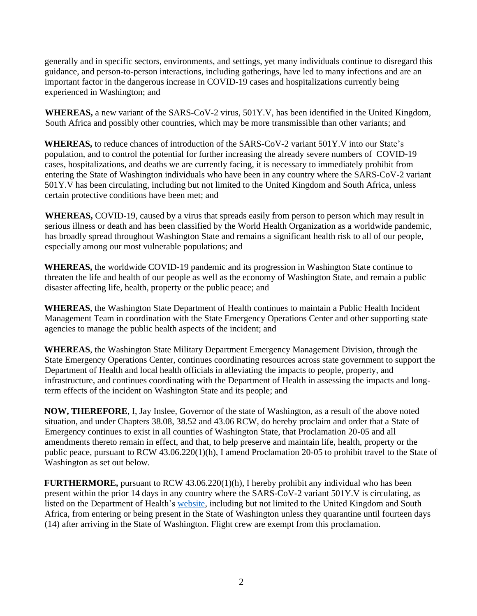generally and in specific sectors, environments, and settings, yet many individuals continue to disregard this guidance, and person-to-person interactions, including gatherings, have led to many infections and are an important factor in the dangerous increase in COVID-19 cases and hospitalizations currently being experienced in Washington; and

**WHEREAS,** a new variant of the SARS-CoV-2 virus, 501Y.V, has been identified in the United Kingdom, South Africa and possibly other countries, which may be more transmissible than other variants; and

**WHEREAS,** to reduce chances of introduction of the SARS-CoV-2 variant 501Y.V into our State's population, and to control the potential for further increasing the already severe numbers of COVID-19 cases, hospitalizations, and deaths we are currently facing, it is necessary to immediately prohibit from entering the State of Washington individuals who have been in any country where the SARS-CoV-2 variant 501Y.V has been circulating, including but not limited to the United Kingdom and South Africa, unless certain protective conditions have been met; and

**WHEREAS,** COVID-19, caused by a virus that spreads easily from person to person which may result in serious illness or death and has been classified by the World Health Organization as a worldwide pandemic, has broadly spread throughout Washington State and remains a significant health risk to all of our people, especially among our most vulnerable populations; and

**WHEREAS,** the worldwide COVID-19 pandemic and its progression in Washington State continue to threaten the life and health of our people as well as the economy of Washington State, and remain a public disaster affecting life, health, property or the public peace; and

**WHEREAS**, the Washington State Department of Health continues to maintain a Public Health Incident Management Team in coordination with the State Emergency Operations Center and other supporting state agencies to manage the public health aspects of the incident; and

**WHEREAS**, the Washington State Military Department Emergency Management Division, through the State Emergency Operations Center, continues coordinating resources across state government to support the Department of Health and local health officials in alleviating the impacts to people, property, and infrastructure, and continues coordinating with the Department of Health in assessing the impacts and longterm effects of the incident on Washington State and its people; and

**NOW, THEREFORE**, I, Jay Inslee, Governor of the state of Washington, as a result of the above noted situation, and under Chapters 38.08, 38.52 and 43.06 RCW, do hereby proclaim and order that a State of Emergency continues to exist in all counties of Washington State, that Proclamation 20-05 and all amendments thereto remain in effect, and that, to help preserve and maintain life, health, property or the public peace, pursuant to RCW 43.06.220(1)(h), I amend Proclamation 20-05 to prohibit travel to the State of Washington as set out below.

**FURTHERMORE,** pursuant to RCW 43.06.220(1)(h), I hereby prohibit any individual who has been present within the prior 14 days in any country where the SARS-CoV-2 variant 501Y.V is circulating, as listed on the Department of Health's [website,](https://www.doh.wa.gov/Emergencies/COVID19/Travel) including but not limited to the United Kingdom and South Africa, from entering or being present in the State of Washington unless they quarantine until fourteen days (14) after arriving in the State of Washington. Flight crew are exempt from this proclamation.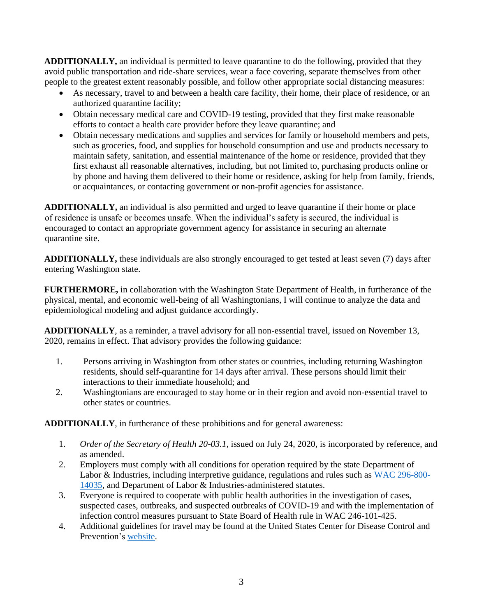**ADDITIONALLY,** an individual is permitted to leave quarantine to do the following, provided that they avoid public transportation and ride-share services, wear a face covering, separate themselves from other people to the greatest extent reasonably possible, and follow other appropriate social distancing measures:

- As necessary, travel to and between a health care facility, their home, their place of residence, or an authorized quarantine facility;
- Obtain necessary medical care and COVID-19 testing, provided that they first make reasonable efforts to contact a health care provider before they leave quarantine; and
- Obtain necessary medications and supplies and services for family or household members and pets, such as groceries, food, and supplies for household consumption and use and products necessary to maintain safety, sanitation, and essential maintenance of the home or residence, provided that they first exhaust all reasonable alternatives, including, but not limited to, purchasing products online or by phone and having them delivered to their home or residence, asking for help from family, friends, or acquaintances, or contacting government or non-profit agencies for assistance.

**ADDITIONALLY,** an individual is also permitted and urged to leave quarantine if their home or place of residence is unsafe or becomes unsafe. When the individual's safety is secured, the individual is encouraged to contact an appropriate government agency for assistance in securing an alternate quarantine site.

**ADDITIONALLY,** these individuals are also strongly encouraged to get tested at least seven (7) days after entering Washington state.

**FURTHERMORE,** in collaboration with the Washington State Department of Health, in furtherance of the physical, mental, and economic well-being of all Washingtonians, I will continue to analyze the data and epidemiological modeling and adjust guidance accordingly.

**ADDITIONALLY**, as a reminder, a travel advisory for all non-essential travel, issued on November 13, 2020, remains in effect. That advisory provides the following guidance:

- 1. Persons arriving in Washington from other states or countries, including returning Washington residents, should self-quarantine for 14 days after arrival. These persons should limit their interactions to their immediate household; and
- 2. Washingtonians are encouraged to stay home or in their region and avoid non-essential travel to other states or countries.

**ADDITIONALLY**, in furtherance of these prohibitions and for general awareness:

- 1. *Order of the Secretary of Health 20-03.1*, issued on July 24, 2020, is incorporated by reference, and as amended.
- 2. Employers must comply with all conditions for operation required by the state Department of Labor & Industries, including interpretive guidance, regulations and rules such as [WAC 296-800-](https://www.lni.wa.gov/safety-health/safety-rules/chapter-pdfs/WAC296-800.pdf) [14035,](https://www.lni.wa.gov/safety-health/safety-rules/chapter-pdfs/WAC296-800.pdf) and Department of Labor & Industries-administered statutes.
- 3. Everyone is required to cooperate with public health authorities in the investigation of cases, suspected cases, outbreaks, and suspected outbreaks of COVID-19 and with the implementation of infection control measures pursuant to State Board of Health rule in WAC 246-101-425.
- 4. Additional guidelines for travel may be found at the United States Center for Disease Control and Prevention's [website.](https://wwwnc.cdc.gov/travel/notices/covid-4/coronavirus-united-kingdom)